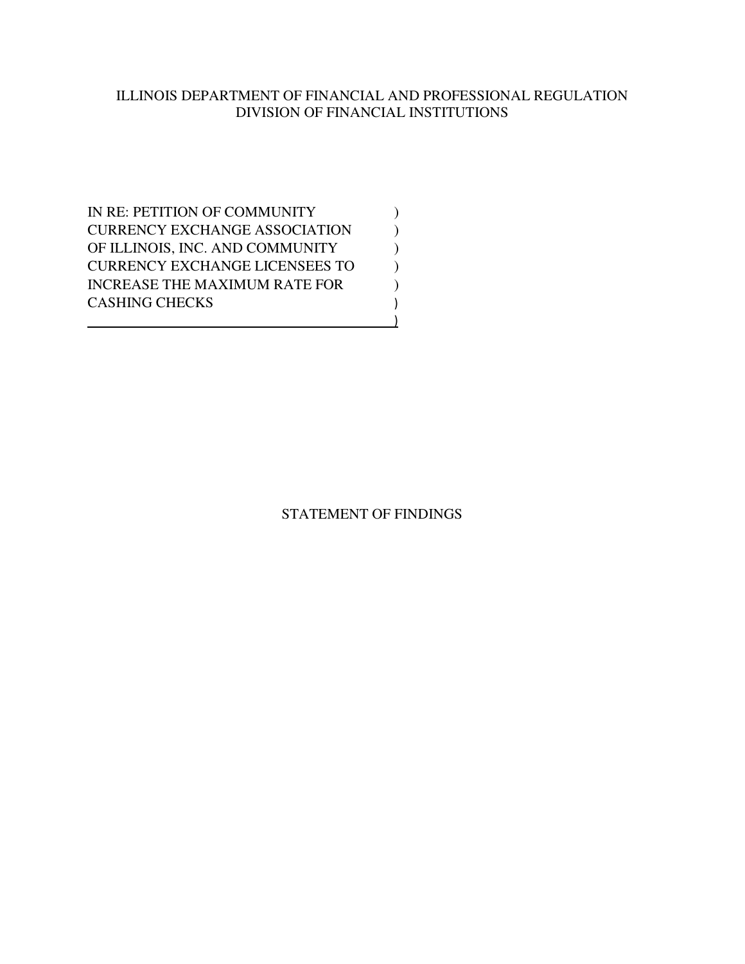# ILLINOIS DEPARTMENT OF FINANCIAL AND PROFESSIONAL REGULATION DIVISION OF FINANCIAL INSTITUTIONS

IN RE: PETITION OF COMMUNITY  $(1)$ CURRENCY EXCHANGE ASSOCIATION  $($ OF ILLINOIS, INC. AND COMMUNITY  $)$ CURRENCY EXCHANGE LICENSEES TO  $\hspace{0.5cm}$  ) INCREASE THE MAXIMUM RATE FOR  $\hspace{0.5cm}$ CASHING CHECKS ) <u>)</u>

# STATEMENT OF FINDINGS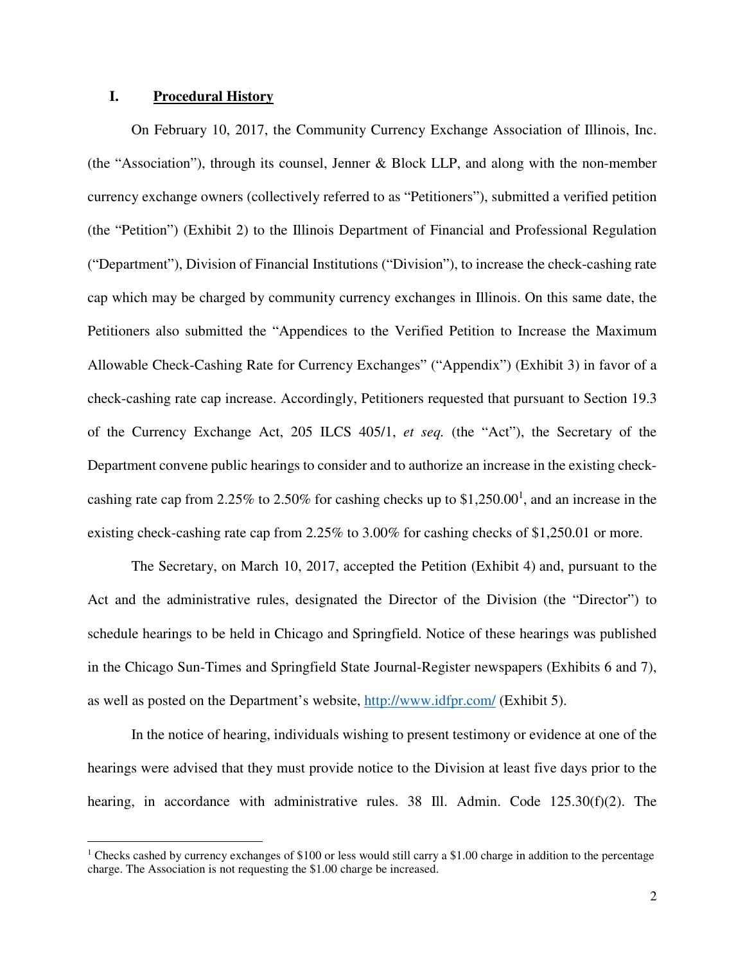### **I. Procedural History**

 $\overline{a}$ 

On February 10, 2017, the Community Currency Exchange Association of Illinois, Inc. (the "Association"), through its counsel, Jenner & Block LLP, and along with the non-member currency exchange owners (collectively referred to as "Petitioners"), submitted a verified petition (the "Petition") (Exhibit 2) to the Illinois Department of Financial and Professional Regulation ("Department"), Division of Financial Institutions ("Division"), to increase the check-cashing rate cap which may be charged by community currency exchanges in Illinois. On this same date, the Petitioners also submitted the "Appendices to the Verified Petition to Increase the Maximum Allowable Check-Cashing Rate for Currency Exchanges" ("Appendix") (Exhibit 3) in favor of a check-cashing rate cap increase. Accordingly, Petitioners requested that pursuant to Section 19.3 of the Currency Exchange Act, 205 ILCS 405/1, *et seq.* (the "Act"), the Secretary of the Department convene public hearings to consider and to authorize an increase in the existing checkcashing rate cap from 2.25% to 2.50% for cashing checks up to  $$1,250.00<sup>1</sup>$ , and an increase in the existing check-cashing rate cap from 2.25% to 3.00% for cashing checks of \$1,250.01 or more.

The Secretary, on March 10, 2017, accepted the Petition (Exhibit 4) and, pursuant to the Act and the administrative rules, designated the Director of the Division (the "Director") to schedule hearings to be held in Chicago and Springfield. Notice of these hearings was published in the Chicago Sun-Times and Springfield State Journal-Register newspapers (Exhibits 6 and 7), as well as posted on the Department's website, http://www.idfpr.com/ (Exhibit 5).

In the notice of hearing, individuals wishing to present testimony or evidence at one of the hearings were advised that they must provide notice to the Division at least five days prior to the hearing, in accordance with administrative rules. 38 Ill. Admin. Code 125.30(f)(2). The

<sup>&</sup>lt;sup>1</sup> Checks cashed by currency exchanges of \$100 or less would still carry a \$1.00 charge in addition to the percentage charge. The Association is not requesting the \$1.00 charge be increased.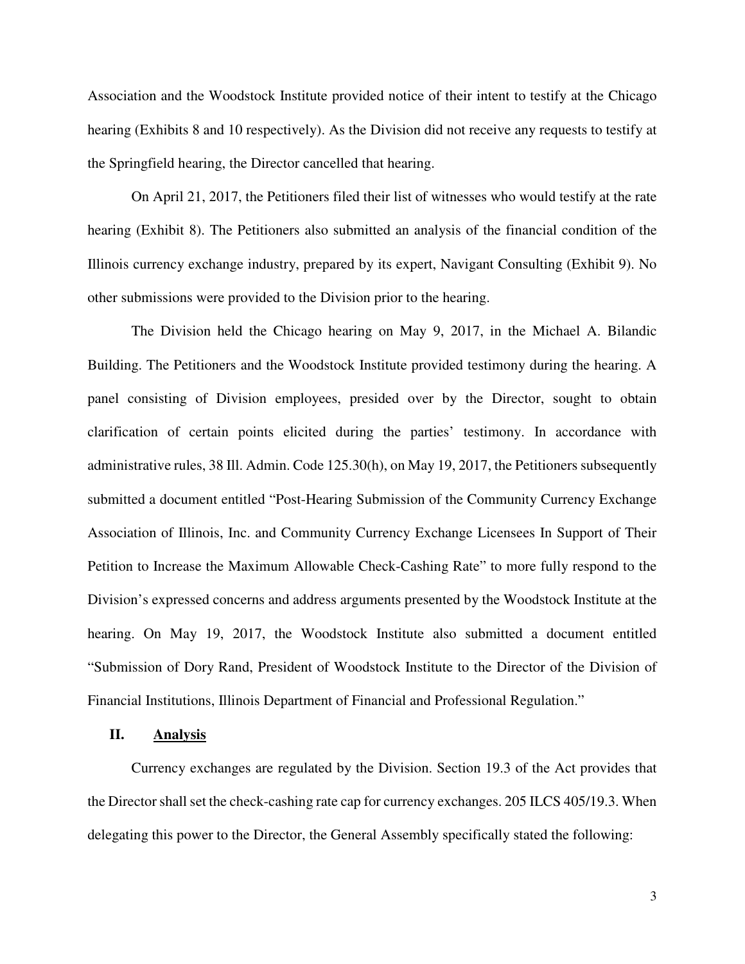Association and the Woodstock Institute provided notice of their intent to testify at the Chicago hearing (Exhibits 8 and 10 respectively). As the Division did not receive any requests to testify at the Springfield hearing, the Director cancelled that hearing.

On April 21, 2017, the Petitioners filed their list of witnesses who would testify at the rate hearing (Exhibit 8). The Petitioners also submitted an analysis of the financial condition of the Illinois currency exchange industry, prepared by its expert, Navigant Consulting (Exhibit 9). No other submissions were provided to the Division prior to the hearing.

The Division held the Chicago hearing on May 9, 2017, in the Michael A. Bilandic Building. The Petitioners and the Woodstock Institute provided testimony during the hearing. A panel consisting of Division employees, presided over by the Director, sought to obtain clarification of certain points elicited during the parties' testimony. In accordance with administrative rules, 38 Ill. Admin. Code 125.30(h), on May 19, 2017, the Petitioners subsequently submitted a document entitled "Post-Hearing Submission of the Community Currency Exchange Association of Illinois, Inc. and Community Currency Exchange Licensees In Support of Their Petition to Increase the Maximum Allowable Check-Cashing Rate" to more fully respond to the Division's expressed concerns and address arguments presented by the Woodstock Institute at the hearing. On May 19, 2017, the Woodstock Institute also submitted a document entitled "Submission of Dory Rand, President of Woodstock Institute to the Director of the Division of Financial Institutions, Illinois Department of Financial and Professional Regulation."

### **II. Analysis**

Currency exchanges are regulated by the Division. Section 19.3 of the Act provides that the Director shall set the check-cashing rate cap for currency exchanges. 205 ILCS 405/19.3. When delegating this power to the Director, the General Assembly specifically stated the following: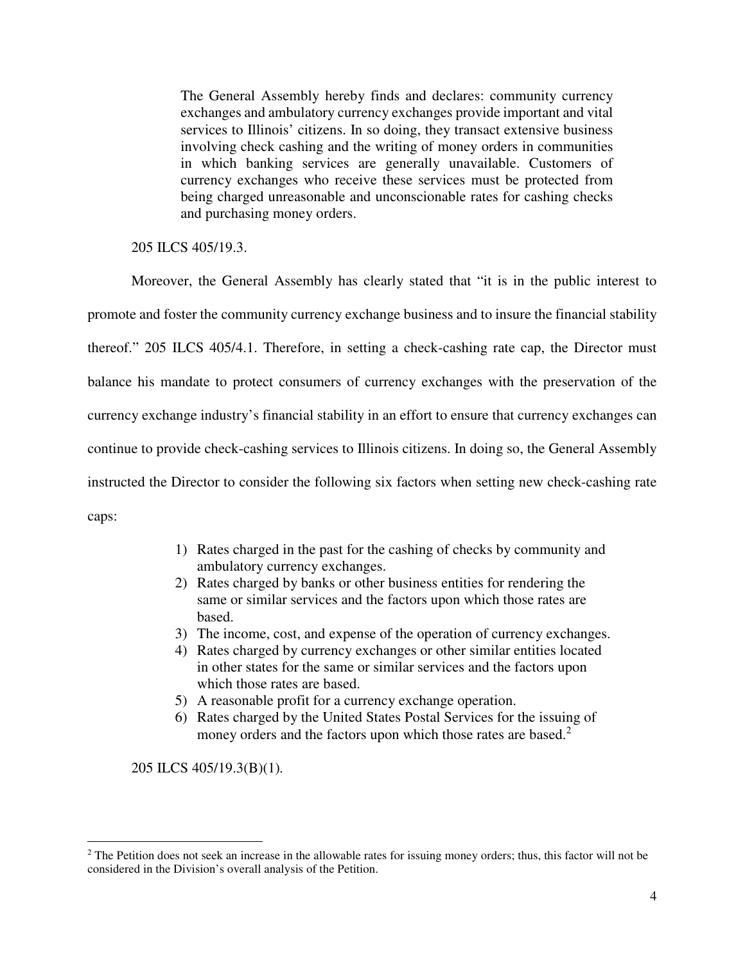The General Assembly hereby finds and declares: community currency exchanges and ambulatory currency exchanges provide important and vital services to Illinois' citizens. In so doing, they transact extensive business involving check cashing and the writing of money orders in communities in which banking services are generally unavailable. Customers of currency exchanges who receive these services must be protected from being charged unreasonable and unconscionable rates for cashing checks and purchasing money orders.

205 ILCS 405/19.3.

Moreover, the General Assembly has clearly stated that "it is in the public interest to promote and foster the community currency exchange business and to insure the financial stability thereof." 205 ILCS 405/4.1. Therefore, in setting a check-cashing rate cap, the Director must balance his mandate to protect consumers of currency exchanges with the preservation of the currency exchange industry's financial stability in an effort to ensure that currency exchanges can continue to provide check-cashing services to Illinois citizens. In doing so, the General Assembly instructed the Director to consider the following six factors when setting new check-cashing rate caps:

- 1) Rates charged in the past for the cashing of checks by community and ambulatory currency exchanges.
- 2) Rates charged by banks or other business entities for rendering the same or similar services and the factors upon which those rates are based.
- 3) The income, cost, and expense of the operation of currency exchanges.
- 4) Rates charged by currency exchanges or other similar entities located in other states for the same or similar services and the factors upon which those rates are based.
- 5) A reasonable profit for a currency exchange operation.
- 6) Rates charged by the United States Postal Services for the issuing of money orders and the factors upon which those rates are based.<sup>2</sup>

205 ILCS 405/19.3(B)(1)*.* 

 $\overline{a}$ 

<sup>&</sup>lt;sup>2</sup> The Petition does not seek an increase in the allowable rates for issuing money orders; thus, this factor will not be considered in the Division's overall analysis of the Petition.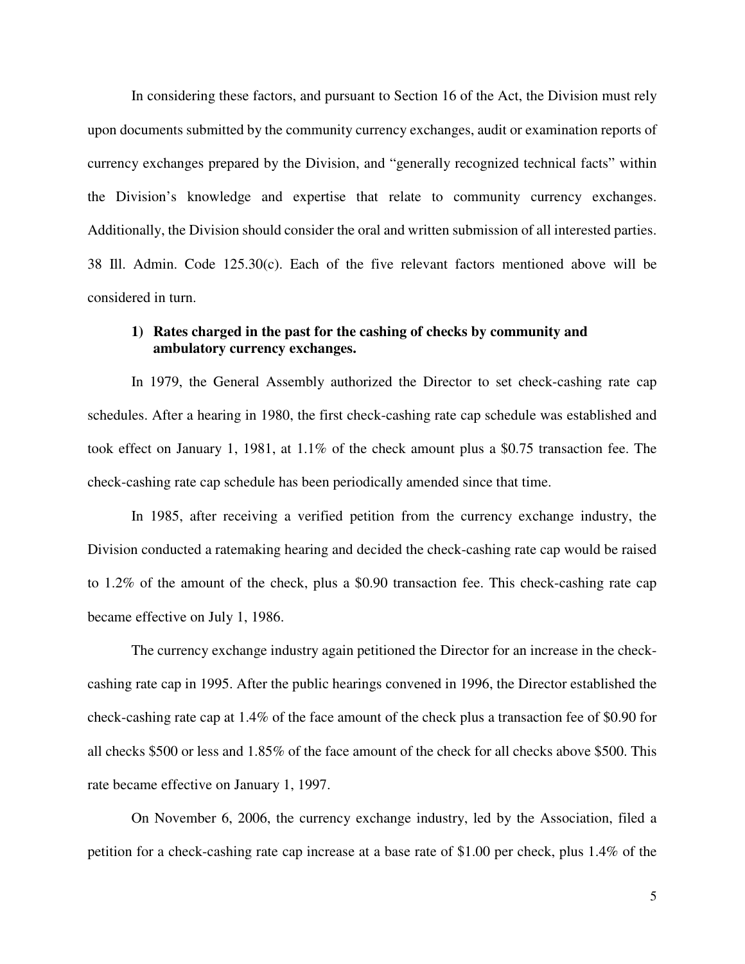In considering these factors, and pursuant to Section 16 of the Act, the Division must rely upon documents submitted by the community currency exchanges, audit or examination reports of currency exchanges prepared by the Division, and "generally recognized technical facts" within the Division's knowledge and expertise that relate to community currency exchanges. Additionally, the Division should consider the oral and written submission of all interested parties. 38 Ill. Admin. Code 125.30(c). Each of the five relevant factors mentioned above will be considered in turn.

### **1) Rates charged in the past for the cashing of checks by community and ambulatory currency exchanges.**

In 1979, the General Assembly authorized the Director to set check-cashing rate cap schedules. After a hearing in 1980, the first check-cashing rate cap schedule was established and took effect on January 1, 1981, at 1.1% of the check amount plus a \$0.75 transaction fee. The check-cashing rate cap schedule has been periodically amended since that time.

In 1985, after receiving a verified petition from the currency exchange industry, the Division conducted a ratemaking hearing and decided the check-cashing rate cap would be raised to 1.2% of the amount of the check, plus a \$0.90 transaction fee. This check-cashing rate cap became effective on July 1, 1986.

The currency exchange industry again petitioned the Director for an increase in the checkcashing rate cap in 1995. After the public hearings convened in 1996, the Director established the check-cashing rate cap at 1.4% of the face amount of the check plus a transaction fee of \$0.90 for all checks \$500 or less and 1.85% of the face amount of the check for all checks above \$500. This rate became effective on January 1, 1997.

On November 6, 2006, the currency exchange industry, led by the Association, filed a petition for a check-cashing rate cap increase at a base rate of \$1.00 per check, plus 1.4% of the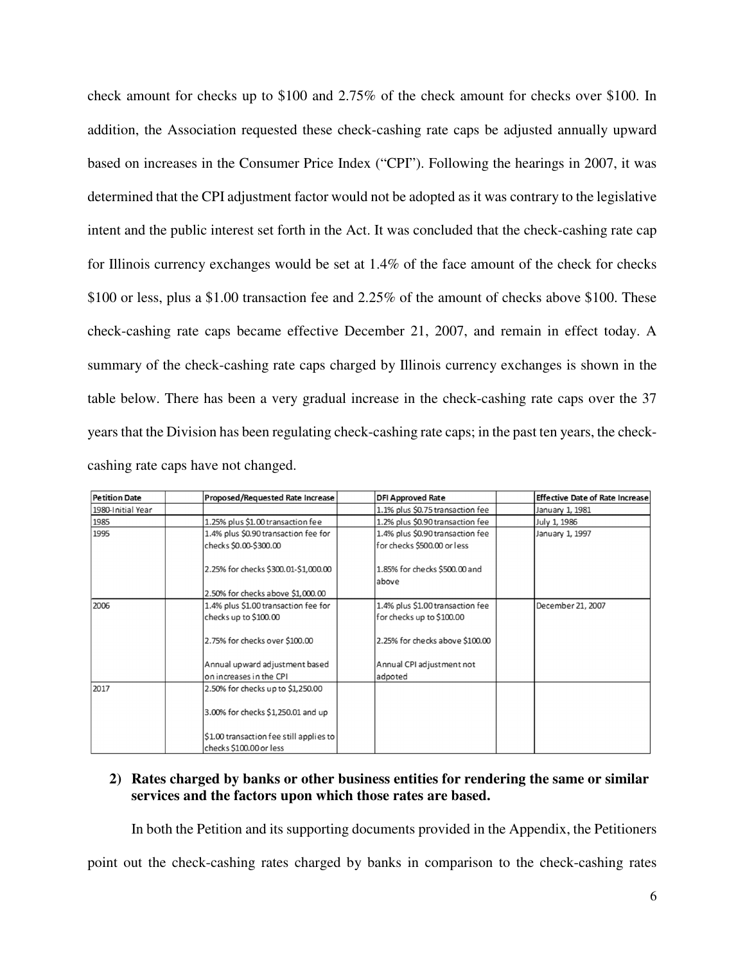check amount for checks up to \$100 and 2.75% of the check amount for checks over \$100. In addition, the Association requested these check-cashing rate caps be adjusted annually upward based on increases in the Consumer Price Index ("CPI"). Following the hearings in 2007, it was determined that the CPI adjustment factor would not be adopted as it was contrary to the legislative intent and the public interest set forth in the Act. It was concluded that the check-cashing rate cap for Illinois currency exchanges would be set at 1.4% of the face amount of the check for checks \$100 or less, plus a \$1.00 transaction fee and 2.25% of the amount of checks above \$100. These check-cashing rate caps became effective December 21, 2007, and remain in effect today. A summary of the check-cashing rate caps charged by Illinois currency exchanges is shown in the table below. There has been a very gradual increase in the check-cashing rate caps over the 37 years that the Division has been regulating check-cashing rate caps; in the past ten years, the checkcashing rate caps have not changed.

| <b>Petition Date</b> | Proposed/Requested Rate Increase        | <b>DFI Approved Rate</b>         | <b>Effective Date of Rate Increase</b> |
|----------------------|-----------------------------------------|----------------------------------|----------------------------------------|
| 1980-Initial Year    |                                         | 1.1% plus \$0.75 transaction fee | January 1, 1981                        |
| 1985                 | 1.25% plus \$1.00 transaction fee       | 1.2% plus \$0.90 transaction fee | July 1, 1986                           |
| 1995                 | 1.4% plus \$0.90 transaction fee for    | 1.4% plus \$0.90 transaction fee | January 1, 1997                        |
|                      | checks \$0.00-\$300.00                  | for checks \$500.00 or less      |                                        |
|                      | 2.25% for checks \$300.01-\$1,000.00    | 1.85% for checks \$500.00 and    |                                        |
|                      |                                         | above                            |                                        |
|                      | 2.50% for checks above \$1,000.00       |                                  |                                        |
| 2006                 | 1.4% plus \$1.00 transaction fee for    | 1.4% plus \$1.00 transaction fee | December 21, 2007                      |
|                      | checks up to \$100.00                   | for checks up to \$100.00        |                                        |
|                      | 2.75% for checks over \$100.00          | 2.25% for checks above \$100.00  |                                        |
|                      | Annual upward adjustment based          | Annual CPI adjustment not        |                                        |
|                      | on increases in the CPI                 | adpoted                          |                                        |
| 2017                 | 2.50% for checks up to \$1,250.00       |                                  |                                        |
|                      | 3.00% for checks \$1,250.01 and up      |                                  |                                        |
|                      | \$1.00 transaction fee still applies to |                                  |                                        |
|                      | checks \$100.00 or less                 |                                  |                                        |

## **2) Rates charged by banks or other business entities for rendering the same or similar services and the factors upon which those rates are based.**

In both the Petition and its supporting documents provided in the Appendix, the Petitioners

point out the check-cashing rates charged by banks in comparison to the check-cashing rates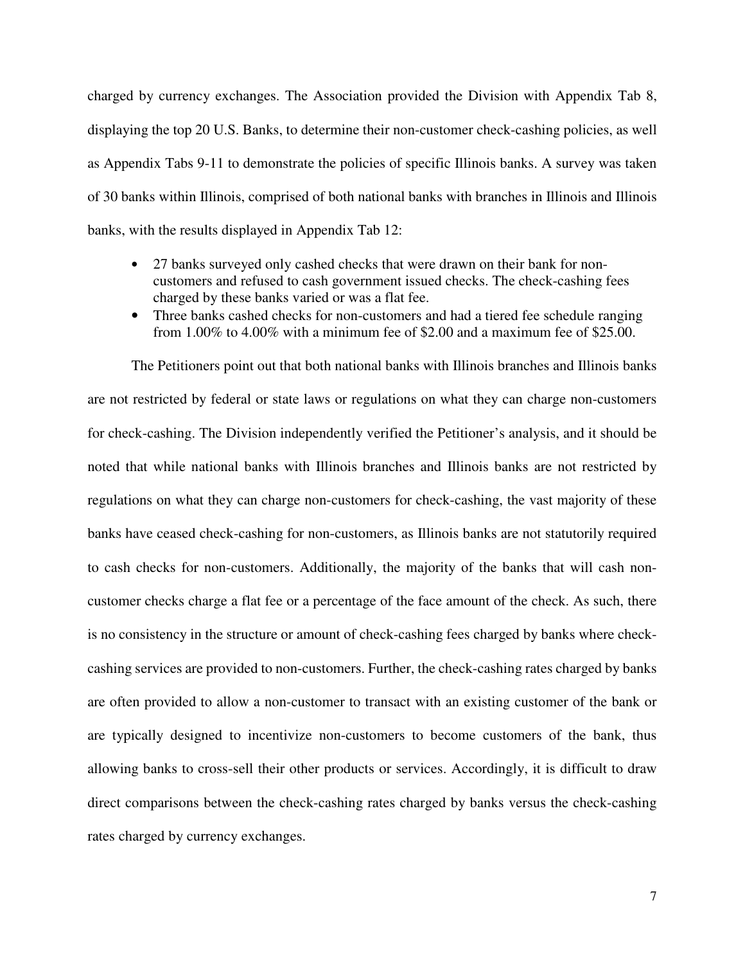charged by currency exchanges. The Association provided the Division with Appendix Tab 8, displaying the top 20 U.S. Banks, to determine their non-customer check-cashing policies, as well as Appendix Tabs 9-11 to demonstrate the policies of specific Illinois banks. A survey was taken of 30 banks within Illinois, comprised of both national banks with branches in Illinois and Illinois banks, with the results displayed in Appendix Tab 12:

- 27 banks surveyed only cashed checks that were drawn on their bank for noncustomers and refused to cash government issued checks. The check-cashing fees charged by these banks varied or was a flat fee.
- Three banks cashed checks for non-customers and had a tiered fee schedule ranging from 1.00% to 4.00% with a minimum fee of \$2.00 and a maximum fee of \$25.00.

The Petitioners point out that both national banks with Illinois branches and Illinois banks are not restricted by federal or state laws or regulations on what they can charge non-customers for check-cashing. The Division independently verified the Petitioner's analysis, and it should be noted that while national banks with Illinois branches and Illinois banks are not restricted by regulations on what they can charge non-customers for check-cashing, the vast majority of these banks have ceased check-cashing for non-customers, as Illinois banks are not statutorily required to cash checks for non-customers. Additionally, the majority of the banks that will cash noncustomer checks charge a flat fee or a percentage of the face amount of the check. As such, there is no consistency in the structure or amount of check-cashing fees charged by banks where checkcashing services are provided to non-customers. Further, the check-cashing rates charged by banks are often provided to allow a non-customer to transact with an existing customer of the bank or are typically designed to incentivize non-customers to become customers of the bank, thus allowing banks to cross-sell their other products or services. Accordingly, it is difficult to draw direct comparisons between the check-cashing rates charged by banks versus the check-cashing rates charged by currency exchanges.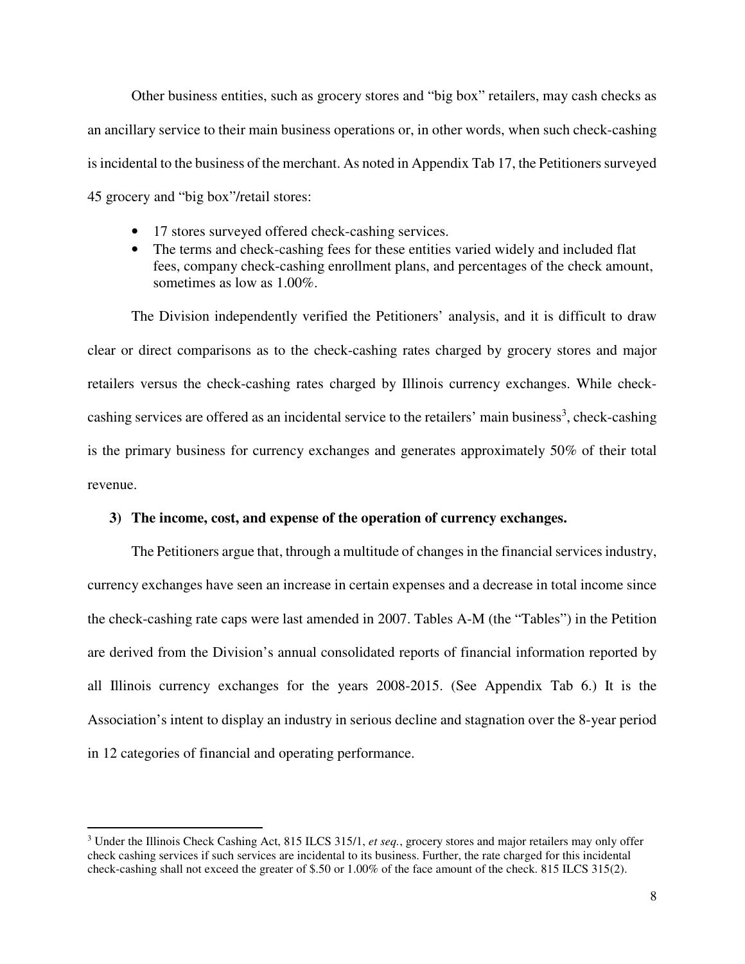Other business entities, such as grocery stores and "big box" retailers, may cash checks as an ancillary service to their main business operations or, in other words, when such check-cashing is incidental to the business of the merchant. As noted in Appendix Tab 17, the Petitioners surveyed 45 grocery and "big box"/retail stores:

- 17 stores surveyed offered check-cashing services.
- The terms and check-cashing fees for these entities varied widely and included flat fees, company check-cashing enrollment plans, and percentages of the check amount, sometimes as low as 1.00%.

The Division independently verified the Petitioners' analysis, and it is difficult to draw clear or direct comparisons as to the check-cashing rates charged by grocery stores and major retailers versus the check-cashing rates charged by Illinois currency exchanges. While checkcashing services are offered as an incidental service to the retailers' main business<sup>3</sup>, check-cashing is the primary business for currency exchanges and generates approximately 50% of their total revenue.

### **3) The income, cost, and expense of the operation of currency exchanges.**

The Petitioners argue that, through a multitude of changes in the financial services industry, currency exchanges have seen an increase in certain expenses and a decrease in total income since the check-cashing rate caps were last amended in 2007. Tables A-M (the "Tables") in the Petition are derived from the Division's annual consolidated reports of financial information reported by all Illinois currency exchanges for the years 2008-2015. (See Appendix Tab 6.) It is the Association's intent to display an industry in serious decline and stagnation over the 8-year period in 12 categories of financial and operating performance.

l

<sup>3</sup> Under the Illinois Check Cashing Act, 815 ILCS 315/1, *et seq.*, grocery stores and major retailers may only offer check cashing services if such services are incidental to its business. Further, the rate charged for this incidental check-cashing shall not exceed the greater of \$.50 or 1.00% of the face amount of the check. 815 ILCS 315(2).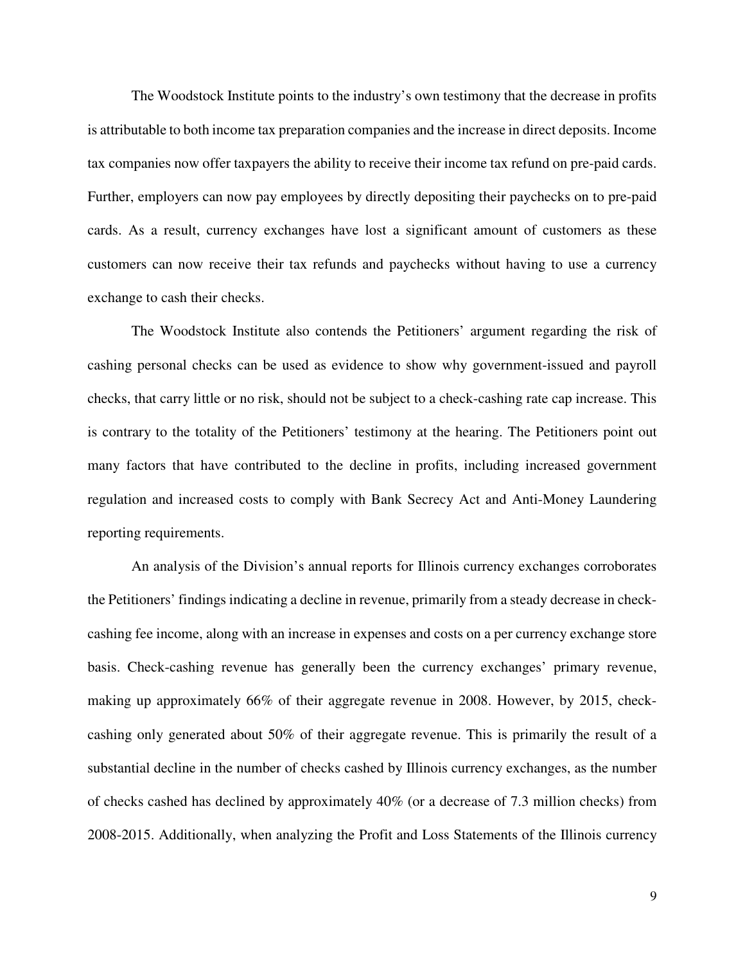The Woodstock Institute points to the industry's own testimony that the decrease in profits is attributable to both income tax preparation companies and the increase in direct deposits. Income tax companies now offer taxpayers the ability to receive their income tax refund on pre-paid cards. Further, employers can now pay employees by directly depositing their paychecks on to pre-paid cards. As a result, currency exchanges have lost a significant amount of customers as these customers can now receive their tax refunds and paychecks without having to use a currency exchange to cash their checks.

The Woodstock Institute also contends the Petitioners' argument regarding the risk of cashing personal checks can be used as evidence to show why government-issued and payroll checks, that carry little or no risk, should not be subject to a check-cashing rate cap increase. This is contrary to the totality of the Petitioners' testimony at the hearing. The Petitioners point out many factors that have contributed to the decline in profits, including increased government regulation and increased costs to comply with Bank Secrecy Act and Anti-Money Laundering reporting requirements.

An analysis of the Division's annual reports for Illinois currency exchanges corroborates the Petitioners' findings indicating a decline in revenue, primarily from a steady decrease in checkcashing fee income, along with an increase in expenses and costs on a per currency exchange store basis. Check-cashing revenue has generally been the currency exchanges' primary revenue, making up approximately 66% of their aggregate revenue in 2008. However, by 2015, checkcashing only generated about 50% of their aggregate revenue. This is primarily the result of a substantial decline in the number of checks cashed by Illinois currency exchanges, as the number of checks cashed has declined by approximately 40% (or a decrease of 7.3 million checks) from 2008-2015. Additionally, when analyzing the Profit and Loss Statements of the Illinois currency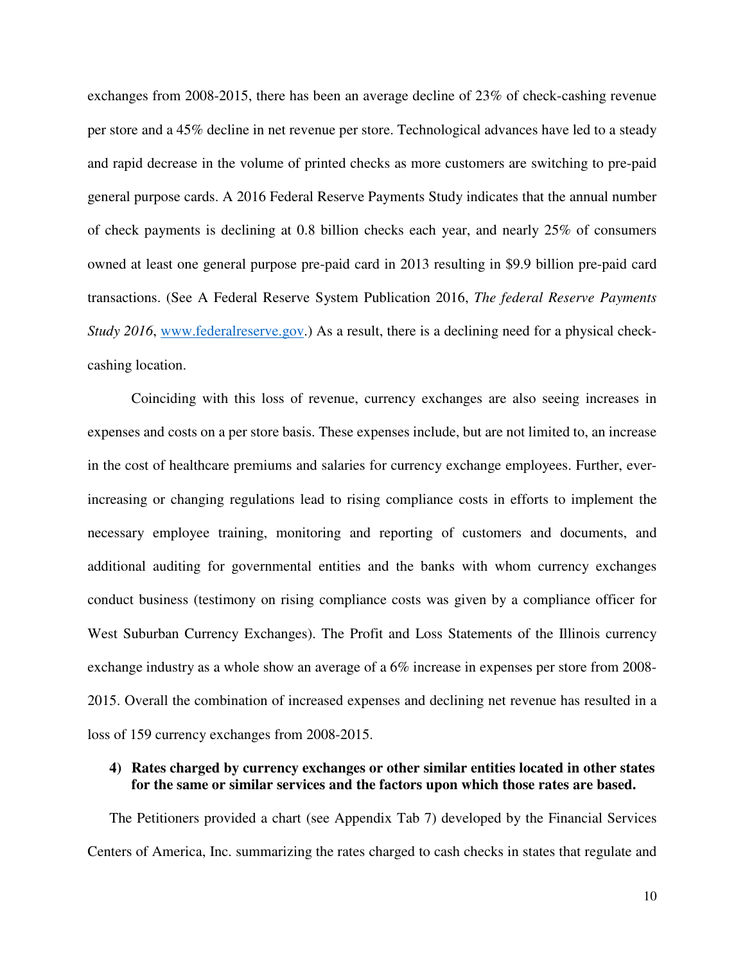exchanges from 2008-2015, there has been an average decline of 23% of check-cashing revenue per store and a 45% decline in net revenue per store. Technological advances have led to a steady and rapid decrease in the volume of printed checks as more customers are switching to pre-paid general purpose cards. A 2016 Federal Reserve Payments Study indicates that the annual number of check payments is declining at 0.8 billion checks each year, and nearly 25% of consumers owned at least one general purpose pre-paid card in 2013 resulting in \$9.9 billion pre-paid card transactions. (See A Federal Reserve System Publication 2016, *The federal Reserve Payments Study 2016*, www.federalreserve.gov.) As a result, there is a declining need for a physical checkcashing location.

Coinciding with this loss of revenue, currency exchanges are also seeing increases in expenses and costs on a per store basis. These expenses include, but are not limited to, an increase in the cost of healthcare premiums and salaries for currency exchange employees. Further, everincreasing or changing regulations lead to rising compliance costs in efforts to implement the necessary employee training, monitoring and reporting of customers and documents, and additional auditing for governmental entities and the banks with whom currency exchanges conduct business (testimony on rising compliance costs was given by a compliance officer for West Suburban Currency Exchanges). The Profit and Loss Statements of the Illinois currency exchange industry as a whole show an average of a 6% increase in expenses per store from 2008- 2015. Overall the combination of increased expenses and declining net revenue has resulted in a loss of 159 currency exchanges from 2008-2015.

### **4) Rates charged by currency exchanges or other similar entities located in other states for the same or similar services and the factors upon which those rates are based.**

The Petitioners provided a chart (see Appendix Tab 7) developed by the Financial Services Centers of America, Inc. summarizing the rates charged to cash checks in states that regulate and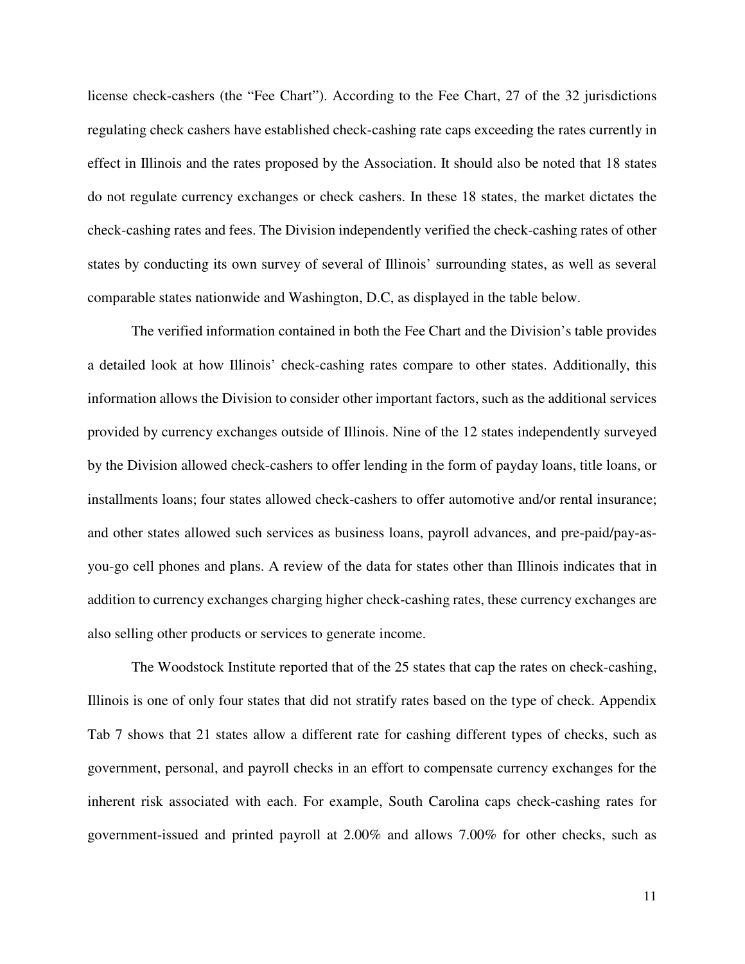license check-cashers (the "Fee Chart"). According to the Fee Chart, 27 of the 32 jurisdictions regulating check cashers have established check-cashing rate caps exceeding the rates currently in effect in Illinois and the rates proposed by the Association. It should also be noted that 18 states do not regulate currency exchanges or check cashers. In these 18 states, the market dictates the check-cashing rates and fees. The Division independently verified the check-cashing rates of other states by conducting its own survey of several of Illinois' surrounding states, as well as several comparable states nationwide and Washington, D.C, as displayed in the table below.

The verified information contained in both the Fee Chart and the Division's table provides a detailed look at how Illinois' check-cashing rates compare to other states. Additionally, this information allows the Division to consider other important factors, such as the additional services provided by currency exchanges outside of Illinois. Nine of the 12 states independently surveyed by the Division allowed check-cashers to offer lending in the form of payday loans, title loans, or installments loans; four states allowed check-cashers to offer automotive and/or rental insurance; and other states allowed such services as business loans, payroll advances, and pre-paid/pay-asyou-go cell phones and plans. A review of the data for states other than Illinois indicates that in addition to currency exchanges charging higher check-cashing rates, these currency exchanges are also selling other products or services to generate income.

The Woodstock Institute reported that of the 25 states that cap the rates on check-cashing, Illinois is one of only four states that did not stratify rates based on the type of check. Appendix Tab 7 shows that 21 states allow a different rate for cashing different types of checks, such as government, personal, and payroll checks in an effort to compensate currency exchanges for the inherent risk associated with each. For example, South Carolina caps check-cashing rates for government-issued and printed payroll at 2.00% and allows 7.00% for other checks, such as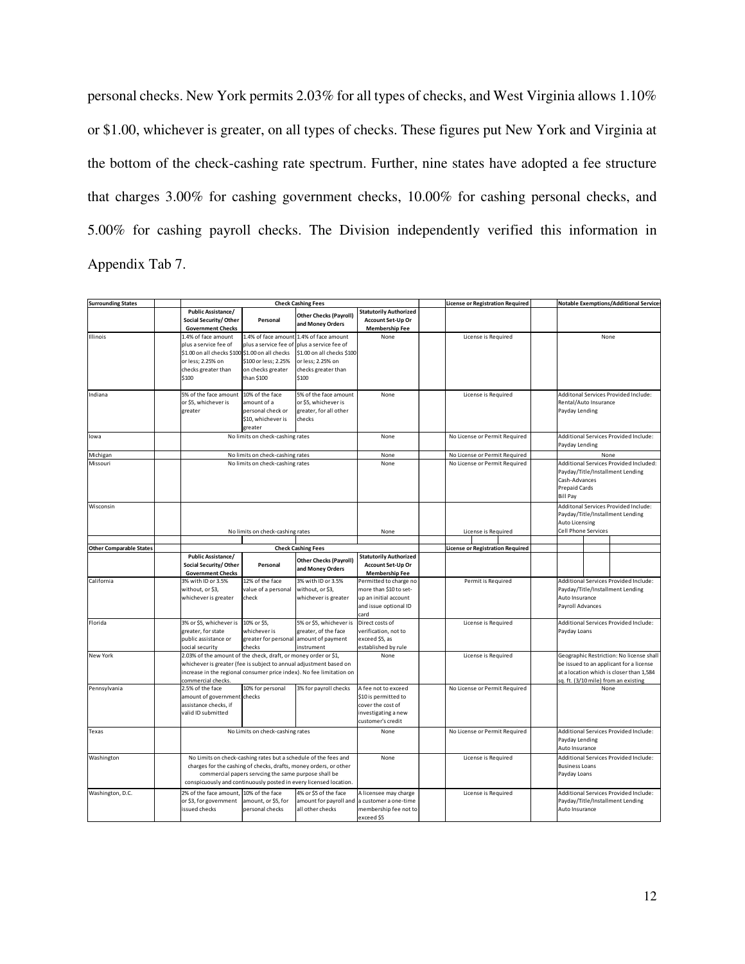personal checks. New York permits 2.03% for all types of checks, and West Virginia allows 1.10% or \$1.00, whichever is greater, on all types of checks. These figures put New York and Virginia at the bottom of the check-cashing rate spectrum. Further, nine states have adopted a fee structure that charges 3.00% for cashing government checks, 10.00% for cashing personal checks, and 5.00% for cashing payroll checks. The Division independently verified this information in Appendix Tab 7.

| <b>Surrounding States</b>      |                                                                                                   | <b>Check Cashing Fees</b>                                                                                                                                                                                                                                         |                                                                                                                                                                           |                                                                                                              |  | Notable Exemptions/Additional Service<br><b>License or Registration Required</b> |                                                         |                                                                                                                                                                         |      |  |  |
|--------------------------------|---------------------------------------------------------------------------------------------------|-------------------------------------------------------------------------------------------------------------------------------------------------------------------------------------------------------------------------------------------------------------------|---------------------------------------------------------------------------------------------------------------------------------------------------------------------------|--------------------------------------------------------------------------------------------------------------|--|----------------------------------------------------------------------------------|---------------------------------------------------------|-------------------------------------------------------------------------------------------------------------------------------------------------------------------------|------|--|--|
|                                | <b>Public Assistance/</b><br>Social Security/Other<br><b>Government Checks</b>                    | Personal                                                                                                                                                                                                                                                          | <b>Other Checks (Payroll)</b><br>and Money Orders                                                                                                                         | <b>Statutorily Authorized</b><br>Account Set-Up Or<br><b>Membership Fee</b>                                  |  |                                                                                  |                                                         |                                                                                                                                                                         |      |  |  |
| Illinois                       | 1.4% of face amount<br>plus a service fee of<br>or less; 2.25% on<br>checks greater than<br>\$100 | \$1.00 on all checks \$100 \$1.00 on all checks<br>\$100 or less; 2.25%<br>on checks greater<br>than \$100                                                                                                                                                        | 1.4% of face amount 1.4% of face amount<br>plus a service fee of plus a service fee of<br>\$1.00 on all checks \$100<br>or less; 2.25% on<br>checks greater than<br>\$100 | None                                                                                                         |  | License is Required                                                              |                                                         | None                                                                                                                                                                    |      |  |  |
| Indiana                        | 5% of the face amount<br>or \$5, whichever is<br>greater                                          | 10% of the face<br>amount of a<br>personal check or<br>\$10, whichever is<br>greater                                                                                                                                                                              | 5% of the face amount<br>or \$5, whichever is<br>greater, for all other<br>checks                                                                                         | None                                                                                                         |  | License is Required                                                              |                                                         | Additonal Services Provided Include:<br>Rental/Auto Insurance<br>Payday Lending                                                                                         |      |  |  |
| lowa                           |                                                                                                   | No limits on check-cashing rates                                                                                                                                                                                                                                  |                                                                                                                                                                           | None                                                                                                         |  | No License or Permit Required                                                    | Additional Services Provided Include:<br>Payday Lending |                                                                                                                                                                         |      |  |  |
| Michigan                       |                                                                                                   | No limits on check-cashing rates                                                                                                                                                                                                                                  |                                                                                                                                                                           | None                                                                                                         |  | No License or Permit Required                                                    |                                                         |                                                                                                                                                                         | None |  |  |
| Missouri                       |                                                                                                   | No limits on check-cashing rates                                                                                                                                                                                                                                  |                                                                                                                                                                           |                                                                                                              |  | No License or Permit Required                                                    |                                                         | Additional Services Provided Included:<br>Payday/Title/Installment Lending<br>Cash-Advances<br><b>Prepaid Cards</b><br><b>Bill Pay</b>                                  |      |  |  |
| Wisconsin                      |                                                                                                   | No limits on check-cashing rates                                                                                                                                                                                                                                  |                                                                                                                                                                           | None                                                                                                         |  | License is Required                                                              |                                                         | Additonal Services Provided Include:<br>Payday/Title/Installment Lending<br>Auto Licensing<br>Cell Phone Services                                                       |      |  |  |
|                                |                                                                                                   |                                                                                                                                                                                                                                                                   |                                                                                                                                                                           |                                                                                                              |  |                                                                                  |                                                         |                                                                                                                                                                         |      |  |  |
| <b>Other Comparable States</b> |                                                                                                   |                                                                                                                                                                                                                                                                   | <b>Check Cashing Fees</b>                                                                                                                                                 |                                                                                                              |  | <b>License or Registration Required</b>                                          |                                                         |                                                                                                                                                                         |      |  |  |
|                                | <b>Public Assistance/</b><br>Social Security/Other<br><b>Government Checks</b>                    | Personal                                                                                                                                                                                                                                                          | <b>Other Checks (Payroll)</b><br>and Money Orders                                                                                                                         | <b>Statutorily Authorized</b><br>Account Set-Up Or<br><b>Membership Fee</b>                                  |  |                                                                                  |                                                         |                                                                                                                                                                         |      |  |  |
| California                     | 3% with ID or 3.5%<br>without, or \$3,<br>whichever is greater                                    | 12% of the face<br>value of a personal<br>check                                                                                                                                                                                                                   | 3% with ID or 3.5%<br>without, or \$3,<br>whichever is greater                                                                                                            | Permitted to charge no<br>more than \$10 to set-<br>up an initial account<br>and issue optional ID<br>card   |  | Permit is Required                                                               |                                                         | Additional Services Provided Include:<br>Payday/Title/Installment Lending<br>Auto Insurance<br>Payroll Advances                                                         |      |  |  |
| Florida                        | 3% or \$5, whichever is<br>greater, for state<br>public assistance or<br>social security          | 10% or \$5,<br>whichever is<br>checks                                                                                                                                                                                                                             | 5% or \$5, whichever is<br>greater, of the face<br>greater for personal amount of payment<br>instrument                                                                   | Direct costs of<br>verification, not to<br>exceed \$5, as<br>stablished by rule                              |  | License is Required                                                              |                                                         | Additional Services Provided Include:<br>Payday Loans                                                                                                                   |      |  |  |
| New York                       | commercial checks.                                                                                | 2.03% of the amount of the check, draft, or money order or \$1,<br>whichever is greater (fee is subject to annual adjustment based on<br>increase in the regional consumer price index). No fee limitation on                                                     |                                                                                                                                                                           | None                                                                                                         |  | License is Required                                                              |                                                         | Geographic Restriction: No license shall<br>be issued to an applicant for a license<br>at a location which is closer than 1,584<br>sq. ft. (3/10 mile) from an existing |      |  |  |
| Pennsylvania                   | 2.5% of the face<br>amount of government checks<br>assistance checks, if<br>valid ID submitted    | 10% for personal                                                                                                                                                                                                                                                  | 3% for payroll checks                                                                                                                                                     | A fee not to exceed<br>\$10 is permitted to<br>cover the cost of<br>investigating a new<br>customer's credit |  | No License or Permit Required                                                    |                                                         | None                                                                                                                                                                    |      |  |  |
| Texas                          |                                                                                                   | No Limits on check-cashing rates                                                                                                                                                                                                                                  | None                                                                                                                                                                      |                                                                                                              |  | No License or Permit Required                                                    |                                                         | Additional Services Provided Include:<br>Payday Lending<br>Auto Insurance                                                                                               |      |  |  |
| Washington                     |                                                                                                   | No Limits on check-cashing rates but a schedule of the fees and<br>charges for the cashing of checks, drafts, money orders, or other<br>commercial papers servcing the same purpose shall be<br>conspicuously and continuously posted in every licensed location. |                                                                                                                                                                           |                                                                                                              |  | License is Required                                                              |                                                         | Additional Services Provided Include:<br><b>Business Loans</b><br>Payday Loans                                                                                          |      |  |  |
| Washington, D.C.               | 2% of the face amount,<br>or \$3, for government<br>issued checks                                 | 10% of the face<br>amount, or \$5, for<br>personal checks                                                                                                                                                                                                         | 4% or \$5 of the face<br>amount for payroll and<br>all other checks                                                                                                       | A licensee may charge<br>a customer a one-time<br>membership fee not to<br>exceed \$5                        |  | License is Required                                                              |                                                         | Additional Services Provided Include:<br>Payday/Title/Installment Lending<br>Auto Insurance                                                                             |      |  |  |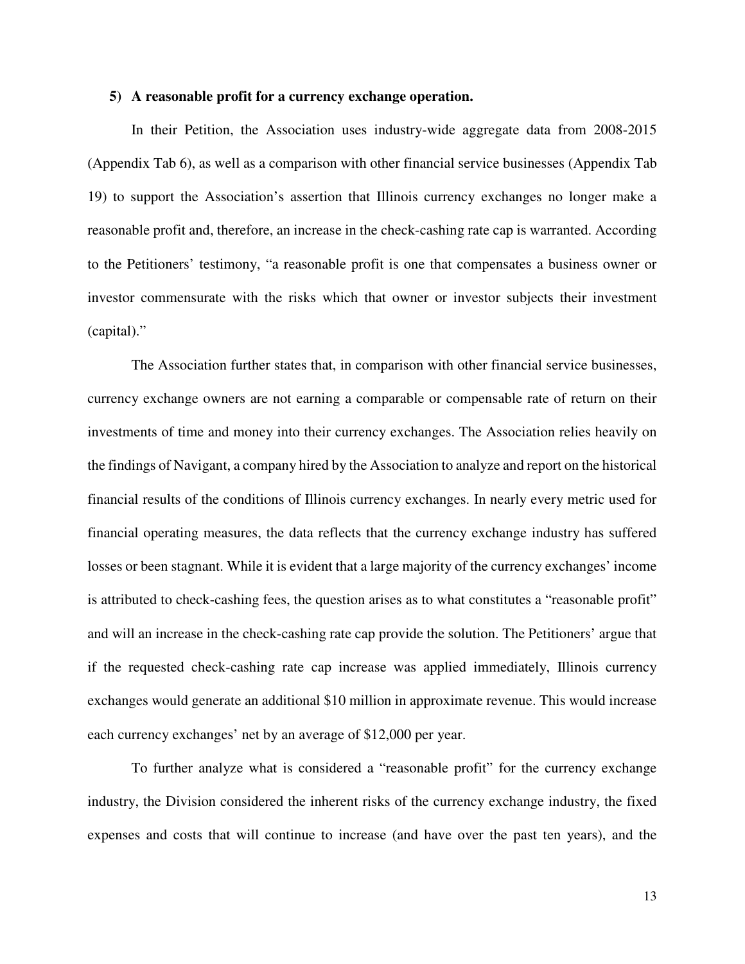#### **5) A reasonable profit for a currency exchange operation.**

In their Petition, the Association uses industry-wide aggregate data from 2008-2015 (Appendix Tab 6), as well as a comparison with other financial service businesses (Appendix Tab 19) to support the Association's assertion that Illinois currency exchanges no longer make a reasonable profit and, therefore, an increase in the check-cashing rate cap is warranted. According to the Petitioners' testimony, "a reasonable profit is one that compensates a business owner or investor commensurate with the risks which that owner or investor subjects their investment (capital)."

The Association further states that, in comparison with other financial service businesses, currency exchange owners are not earning a comparable or compensable rate of return on their investments of time and money into their currency exchanges. The Association relies heavily on the findings of Navigant, a company hired by the Association to analyze and report on the historical financial results of the conditions of Illinois currency exchanges. In nearly every metric used for financial operating measures, the data reflects that the currency exchange industry has suffered losses or been stagnant. While it is evident that a large majority of the currency exchanges' income is attributed to check-cashing fees, the question arises as to what constitutes a "reasonable profit" and will an increase in the check-cashing rate cap provide the solution. The Petitioners' argue that if the requested check-cashing rate cap increase was applied immediately, Illinois currency exchanges would generate an additional \$10 million in approximate revenue. This would increase each currency exchanges' net by an average of \$12,000 per year.

To further analyze what is considered a "reasonable profit" for the currency exchange industry, the Division considered the inherent risks of the currency exchange industry, the fixed expenses and costs that will continue to increase (and have over the past ten years), and the

13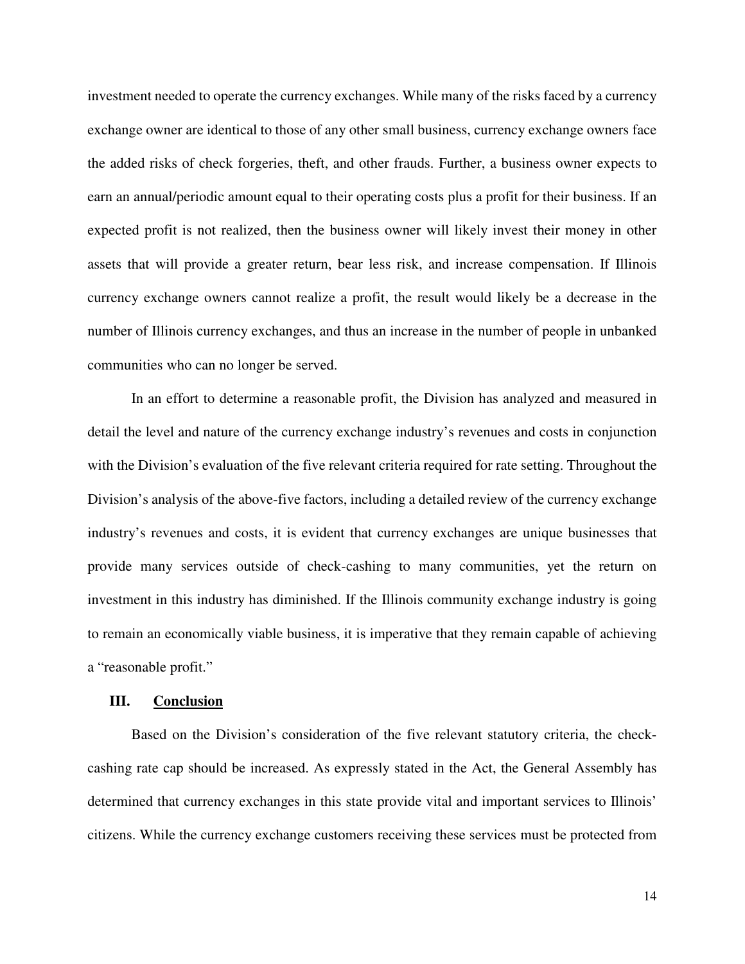investment needed to operate the currency exchanges. While many of the risks faced by a currency exchange owner are identical to those of any other small business, currency exchange owners face the added risks of check forgeries, theft, and other frauds. Further, a business owner expects to earn an annual/periodic amount equal to their operating costs plus a profit for their business. If an expected profit is not realized, then the business owner will likely invest their money in other assets that will provide a greater return, bear less risk, and increase compensation. If Illinois currency exchange owners cannot realize a profit, the result would likely be a decrease in the number of Illinois currency exchanges, and thus an increase in the number of people in unbanked communities who can no longer be served.

In an effort to determine a reasonable profit, the Division has analyzed and measured in detail the level and nature of the currency exchange industry's revenues and costs in conjunction with the Division's evaluation of the five relevant criteria required for rate setting. Throughout the Division's analysis of the above-five factors, including a detailed review of the currency exchange industry's revenues and costs, it is evident that currency exchanges are unique businesses that provide many services outside of check-cashing to many communities, yet the return on investment in this industry has diminished. If the Illinois community exchange industry is going to remain an economically viable business, it is imperative that they remain capable of achieving a "reasonable profit."

#### **III. Conclusion**

Based on the Division's consideration of the five relevant statutory criteria, the checkcashing rate cap should be increased. As expressly stated in the Act, the General Assembly has determined that currency exchanges in this state provide vital and important services to Illinois' citizens. While the currency exchange customers receiving these services must be protected from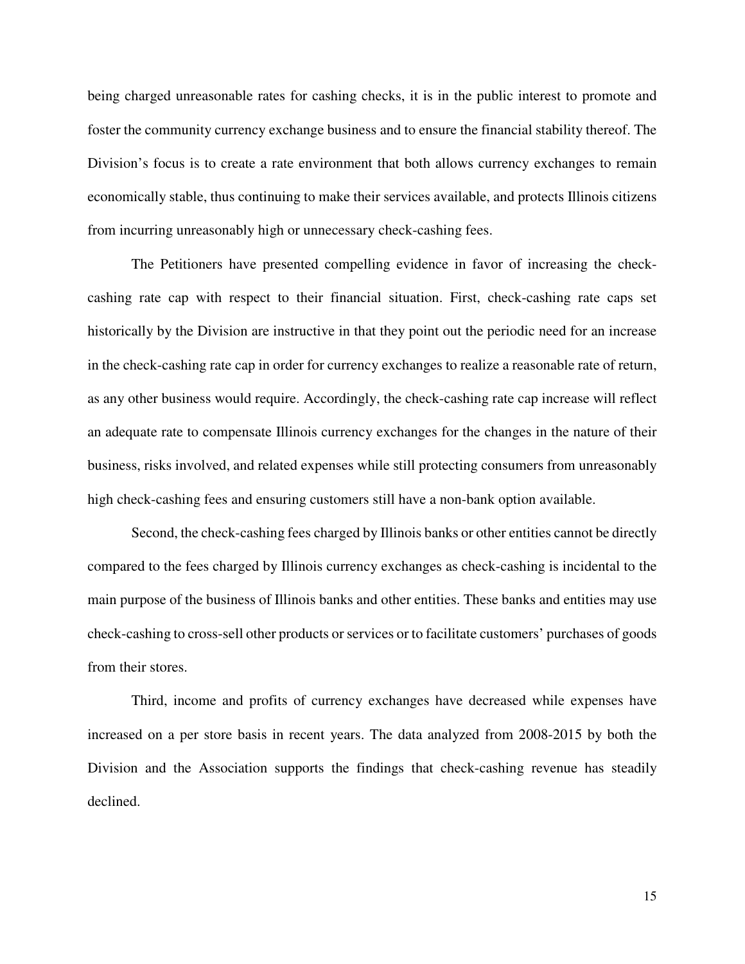being charged unreasonable rates for cashing checks, it is in the public interest to promote and foster the community currency exchange business and to ensure the financial stability thereof. The Division's focus is to create a rate environment that both allows currency exchanges to remain economically stable, thus continuing to make their services available, and protects Illinois citizens from incurring unreasonably high or unnecessary check-cashing fees.

The Petitioners have presented compelling evidence in favor of increasing the checkcashing rate cap with respect to their financial situation. First, check-cashing rate caps set historically by the Division are instructive in that they point out the periodic need for an increase in the check-cashing rate cap in order for currency exchanges to realize a reasonable rate of return, as any other business would require. Accordingly, the check-cashing rate cap increase will reflect an adequate rate to compensate Illinois currency exchanges for the changes in the nature of their business, risks involved, and related expenses while still protecting consumers from unreasonably high check-cashing fees and ensuring customers still have a non-bank option available.

Second, the check-cashing fees charged by Illinois banks or other entities cannot be directly compared to the fees charged by Illinois currency exchanges as check-cashing is incidental to the main purpose of the business of Illinois banks and other entities. These banks and entities may use check-cashing to cross-sell other products or services or to facilitate customers' purchases of goods from their stores.

Third, income and profits of currency exchanges have decreased while expenses have increased on a per store basis in recent years. The data analyzed from 2008-2015 by both the Division and the Association supports the findings that check-cashing revenue has steadily declined.